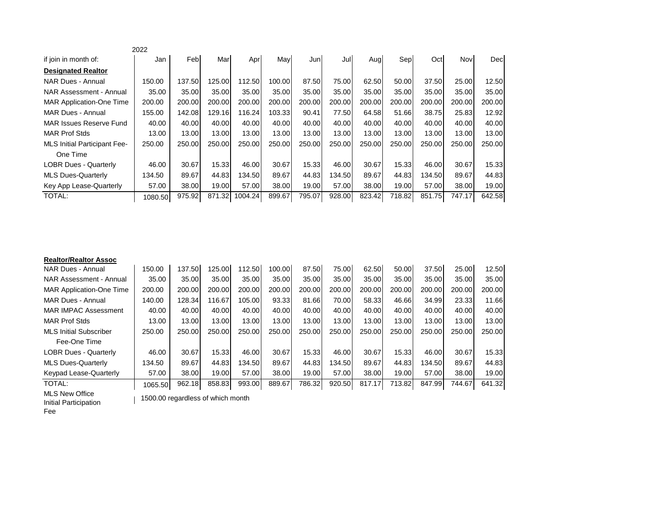|                                     | 2022    |        |        |         |        |        |        |        |        |        |        |        |
|-------------------------------------|---------|--------|--------|---------|--------|--------|--------|--------|--------|--------|--------|--------|
| if join in month of:                | Jan     | Feb    | Mar    | Apr     | May    | Jun    | Jul    | Aug    | Sep    | Oct    | Nov    | Dec    |
| <b>Designated Realtor</b>           |         |        |        |         |        |        |        |        |        |        |        |        |
| NAR Dues - Annual                   | 150.00  | 137.50 | 125.00 | 112.50  | 100.00 | 87.50  | 75.00  | 62.50  | 50.00  | 37.50  | 25.00  | 12.50  |
| <b>NAR Assessment - Annual</b>      | 35.00   | 35.00  | 35.00  | 35.00   | 35.00  | 35.00  | 35.00  | 35.00  | 35.00  | 35.00  | 35.00  | 35.00  |
| <b>MAR Application-One Time</b>     | 200.00  | 200.00 | 200.00 | 200.00  | 200.00 | 200.00 | 200.00 | 200.00 | 200.00 | 200.00 | 200.00 | 200.00 |
| MAR Dues - Annual                   | 155.00  | 142.08 | 129.16 | 116.24  | 103.33 | 90.41  | 77.50  | 64.58  | 51.66  | 38.75  | 25.83  | 12.92  |
| MAR Issues Reserve Fund             | 40.00   | 40.00  | 40.00  | 40.00   | 40.00  | 40.00  | 40.00  | 40.00  | 40.00  | 40.00  | 40.00  | 40.00  |
| <b>MAR Prof Stds</b>                | 13.00   | 13.00  | 13.00  | 13.00   | 13.00  | 13.00  | 13.00  | 13.00  | 13.00  | 13.00  | 13.00  | 13.00  |
| <b>MLS Initial Participant Fee-</b> | 250.00  | 250.00 | 250.00 | 250.00  | 250.00 | 250.00 | 250.00 | 250.00 | 250.00 | 250.00 | 250.00 | 250.00 |
| One Time                            |         |        |        |         |        |        |        |        |        |        |        |        |
| <b>LOBR Dues - Quarterly</b>        | 46.00   | 30.67  | 15.33  | 46.00   | 30.67  | 15.33  | 46.00  | 30.67  | 15.33  | 46.00  | 30.67  | 15.33  |
| <b>MLS Dues-Quarterly</b>           | 134.50  | 89.67  | 44.83  | 134.50  | 89.67  | 44.83  | 134.50 | 89.67  | 44.83  | 134.50 | 89.67  | 44.83  |
| Key App Lease-Quarterly             | 57.00   | 38.00  | 19.00  | 57.00   | 38.00  | 19.00  | 57.00  | 38.00  | 19.00  | 57.00  | 38.00  | 19.00  |
| <b>TOTAL:</b>                       | 1080.50 | 975.92 | 871.32 | 1004.24 | 899.67 | 795.07 | 928.00 | 823.42 | 718.82 | 851.75 | 747.17 | 642.58 |

| <b>Realtor/Realtor Assoc</b>    |         |        |        |        |        |        |        |        |        |        |        |        |
|---------------------------------|---------|--------|--------|--------|--------|--------|--------|--------|--------|--------|--------|--------|
| NAR Dues - Annual               | 150.00  | 137.50 | 125.00 | 112.50 | 100.00 | 87.50  | 75.00  | 62.50  | 50.00  | 37.50  | 25.00  | 12.50  |
| NAR Assessment - Annual         | 35.00   | 35.00  | 35.00  | 35.00  | 35.00  | 35.00  | 35.00  | 35.00  | 35.00  | 35.00  | 35.00  | 35.00  |
| <b>MAR Application-One Time</b> | 200.00  | 200.00 | 200.00 | 200.00 | 200.00 | 200.00 | 200.00 | 200.00 | 200.00 | 200.00 | 200.00 | 200.00 |
| MAR Dues - Annual               | 140.00  | 128.34 | 116.67 | 105.00 | 93.33  | 81.66  | 70.00  | 58.33  | 46.66  | 34.99  | 23.33  | 11.66  |
| <b>MAR IMPAC Assessment</b>     | 40.00   | 40.00  | 40.00  | 40.00  | 40.00  | 40.00  | 40.00  | 40.00  | 40.00  | 40.00  | 40.00  | 40.00  |
| <b>MAR Prof Stds</b>            | 13.00   | 13.00  | 13.00  | 13.00  | 13.00  | 13.00  | 13.00  | 13.00  | 13.00  | 13.00  | 13.00  | 13.00  |
| <b>MLS Initial Subscriber</b>   | 250.00  | 250.00 | 250.00 | 250.00 | 250.00 | 250.00 | 250.00 | 250.00 | 250.00 | 250.00 | 250.00 | 250.00 |
| Fee-One Time                    |         |        |        |        |        |        |        |        |        |        |        |        |
| <b>LOBR Dues - Quarterly</b>    | 46.00   | 30.67  | 15.33  | 46.00  | 30.67  | 15.33  | 46.00  | 30.67  | 15.33  | 46.00  | 30.67  | 15.33  |
| <b>MLS Dues-Quarterly</b>       | 134.50  | 89.67  | 44.83  | 134.50 | 89.67  | 44.83  | 134.50 | 89.67  | 44.83  | 134.50 | 89.67  | 44.83  |
| Keypad Lease-Quarterly          | 57.00   | 38.00  | 19.00  | 57.00  | 38.00  | 19.00  | 57.00  | 38.00  | 19.00  | 57.00  | 38.00  | 19.00  |
| TOTAL:                          | 1065.50 | 962.18 | 858.83 | 993.00 | 889.67 | 786.32 | 920.50 | 817.17 | 713.82 | 847.99 | 744.67 | 641.32 |
| $\cdots$                        |         |        |        |        |        |        |        |        |        |        |        |        |

MLS New Office Initial Participation

Fee

| 1500.00 regardless of which month